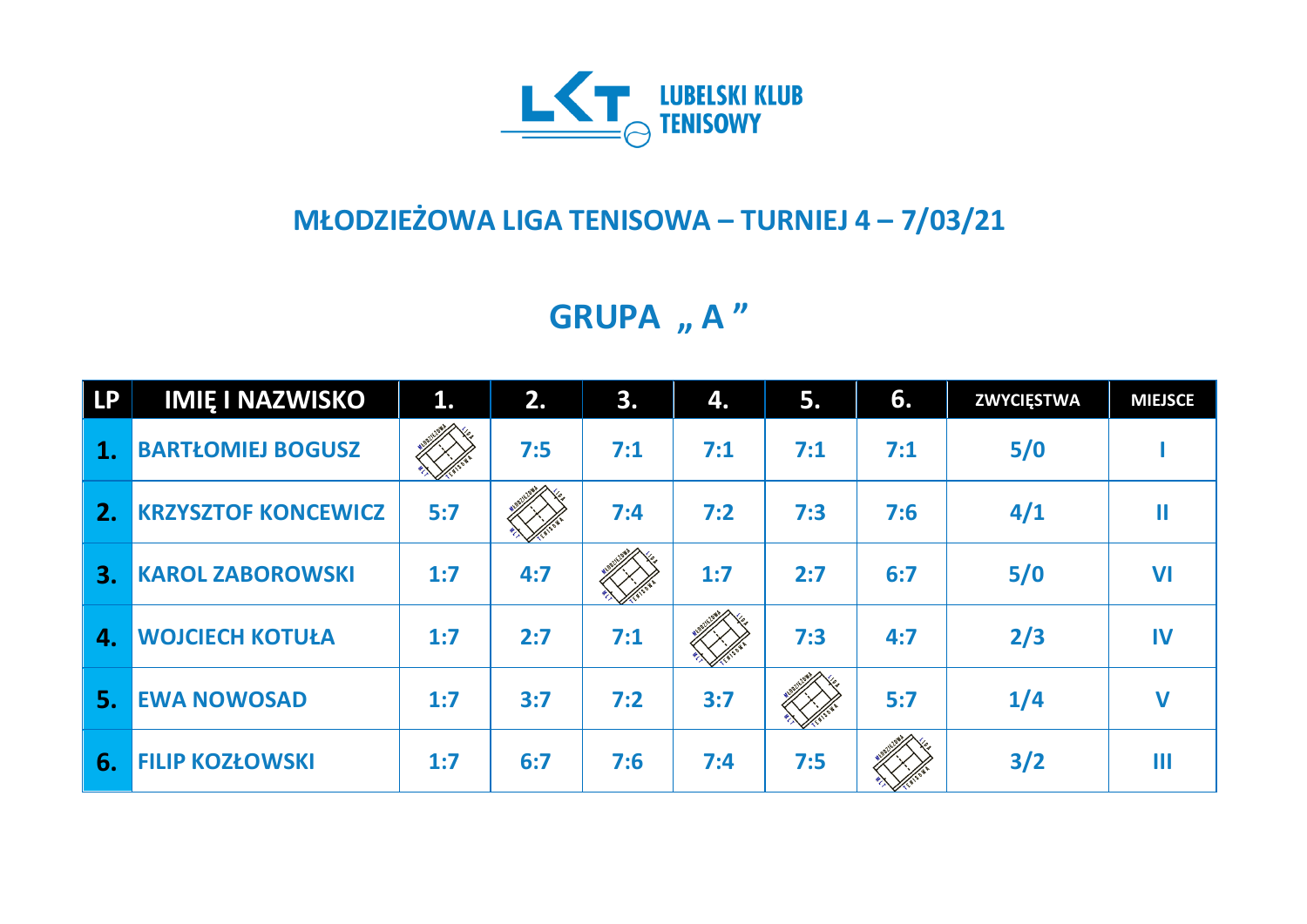

## **MŁODZIEŻOWA LIGA TENISOWA – TURNIEJ 4 – 7/03/21**

**GRUPA** "A"

| <b>LP</b>      | <b>IMIE I NAZWISKO</b>     | 1.  | 2.  | 3.  | 4.  | 5.  | 6.  | <b>ZWYCIĘSTWA</b> | <b>MIEJSCE</b> |
|----------------|----------------------------|-----|-----|-----|-----|-----|-----|-------------------|----------------|
| $\mathbf{1}$ . | <b>BARTŁOMIEJ BOGUSZ</b>   |     | 7:5 | 7:1 | 7:1 | 7:1 | 7:1 | 5/0               |                |
| 2.             | <b>KRZYSZTOF KONCEWICZ</b> | 5:7 |     | 7:4 | 7:2 | 7:3 | 7:6 | 4/1               | Ш              |
| 3.             | <b>KAROL ZABOROWSKI</b>    | 1:7 | 4:7 |     | 1:7 | 2:7 | 6:7 | 5/0               | <b>VI</b>      |
| 4.             | <b>WOJCIECH KOTUŁA</b>     | 1:7 | 2:7 | 7:1 |     | 7:3 | 4:7 | 2/3               | IV             |
| 5.             | <b>EWA NOWOSAD</b>         | 1:7 | 3:7 | 7:2 | 3:7 |     | 5:7 | 1/4               | $\mathbf V$    |
| 6.             | <b>FILIP KOZŁOWSKI</b>     | 1:7 | 6:7 | 7:6 | 7:4 | 7:5 |     | 3/2               | Ш              |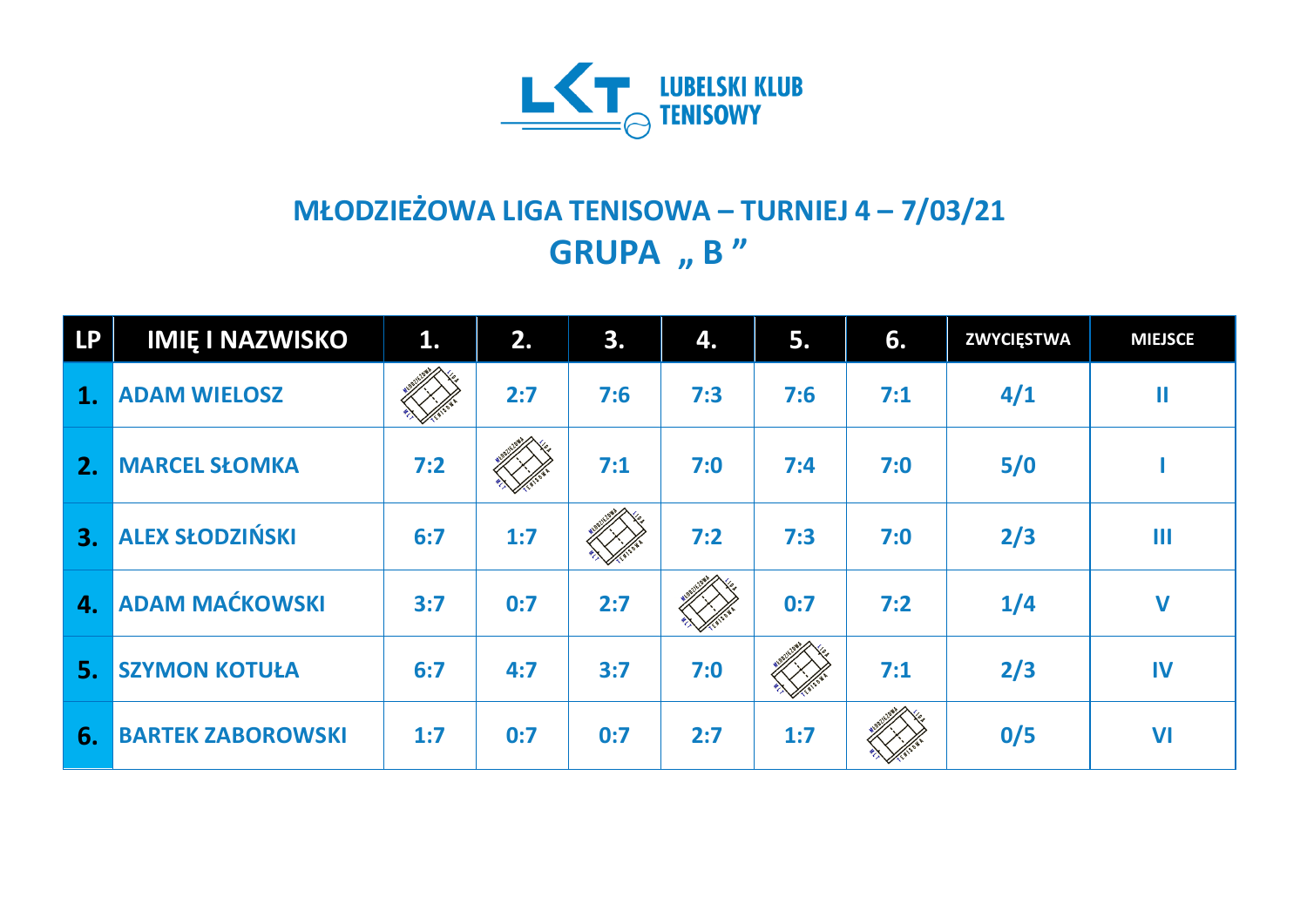

## **MŁODZIEŻOWA LIGA TENISOWA – TURNIEJ 4 – 7/03/21 GRUPA " B "**

| <b>LP</b> | <b>IMIE I NAZWISKO</b>   | 1.  | 2.  | 3.  | 4.  | 5.  | 6.  | <b>ZWYCIĘSTWA</b> | <b>MIEJSCE</b> |
|-----------|--------------------------|-----|-----|-----|-----|-----|-----|-------------------|----------------|
| 1.        | <b>ADAM WIELOSZ</b>      |     | 2:7 | 7:6 | 7:3 | 7:6 | 7:1 | 4/1               | $\mathbf{I}$   |
| 2.        | <b>MARCEL SŁOMKA</b>     | 7:2 |     | 7:1 | 7:0 | 7:4 | 7:0 | 5/0               |                |
| 3.        | <b>ALEX SŁODZIŃSKI</b>   | 6:7 | 1:7 |     | 7:2 | 7:3 | 7:0 | 2/3               | Ш              |
| 4.        | <b>ADAM MAĆKOWSKI</b>    | 3:7 | 0:7 | 2:7 |     | 0:7 | 7:2 | 1/4               | $\mathbf V$    |
| 5.        | <b>SZYMON KOTUŁA</b>     | 6:7 | 4:7 | 3:7 | 7:0 |     | 7:1 | 2/3               | IV             |
| 6.        | <b>BARTEK ZABOROWSKI</b> | 1:7 | 0:7 | 0:7 | 2:7 | 1:7 |     | 0/5               | VI             |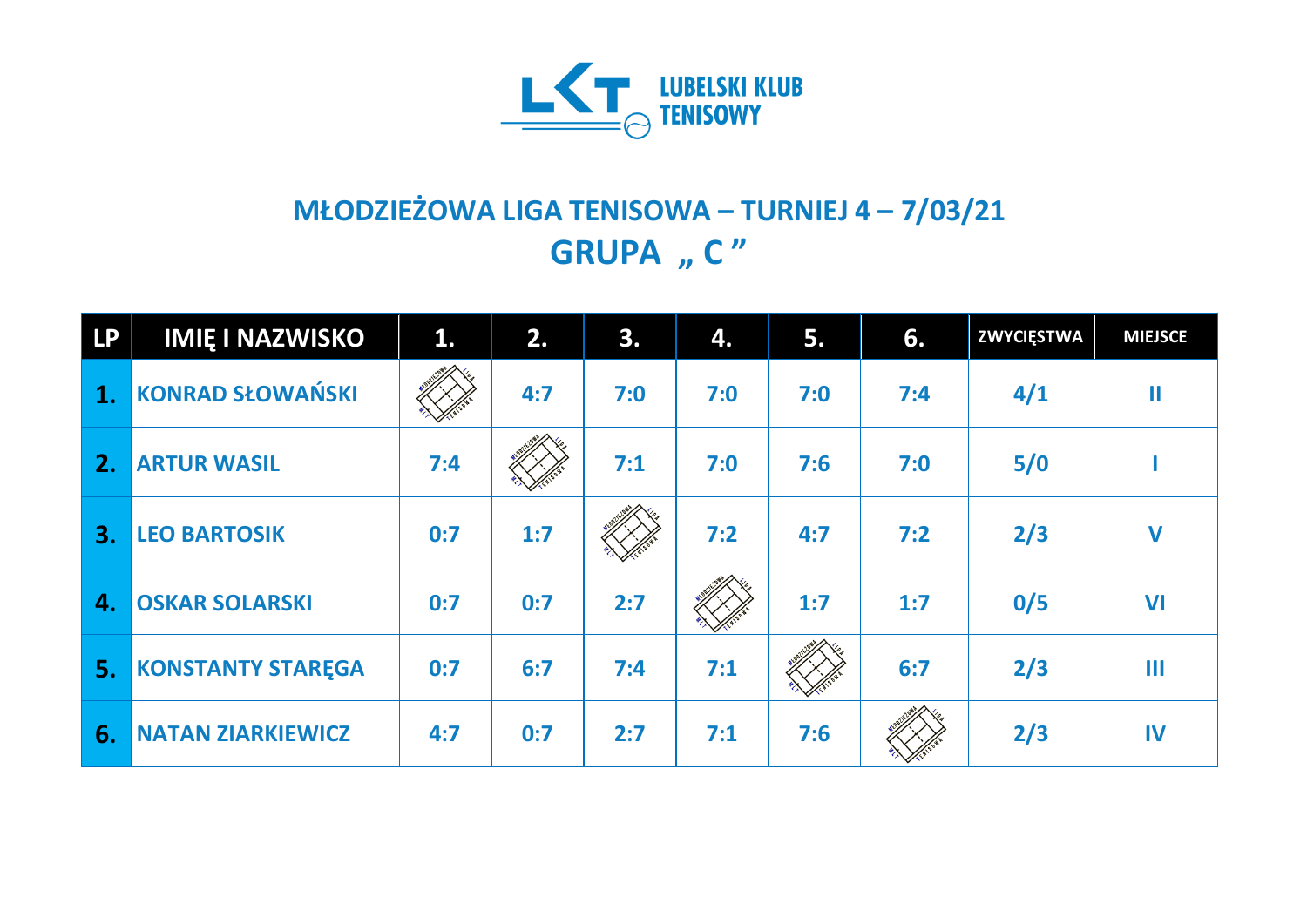

## **MŁODZIEŻOWA LIGA TENISOWA – TURNIEJ 4 – 7/03/21 GRUPA** "  $C''$

| <b>LP</b>      | <b>IMIE I NAZWISKO</b>   | 1.  | 2.  | 3.  | 4.  | 5.  | 6.  | <b>ZWYCIĘSTWA</b> | <b>MIEJSCE</b> |
|----------------|--------------------------|-----|-----|-----|-----|-----|-----|-------------------|----------------|
| $\mathbf{1}$ . | <b>KONRAD SŁOWAŃSKI</b>  |     | 4:7 | 7:0 | 7:0 | 7:0 | 7:4 | 4/1               | Ш              |
| 2.             | <b>ARTUR WASIL</b>       | 7:4 |     | 7:1 | 7:0 | 7:6 | 7:0 | 5/0               |                |
| 3.             | <b>LEO BARTOSIK</b>      | 0:7 | 1:7 |     | 7:2 | 4:7 | 7:2 | 2/3               | $\mathbf v$    |
| $\mathbf{4}$   | <b>OSKAR SOLARSKI</b>    | 0:7 | 0:7 | 2:7 |     | 1:7 | 1:7 | 0/5               | VI             |
| 5.             | <b>KONSTANTY STAREGA</b> | 0:7 | 6:7 | 7:4 | 7:1 |     | 6:7 | 2/3               | Ш              |
| 6.             | <b>NATAN ZIARKIEWICZ</b> | 4:7 | 0:7 | 2:7 | 7:1 | 7:6 |     | 2/3               | IV             |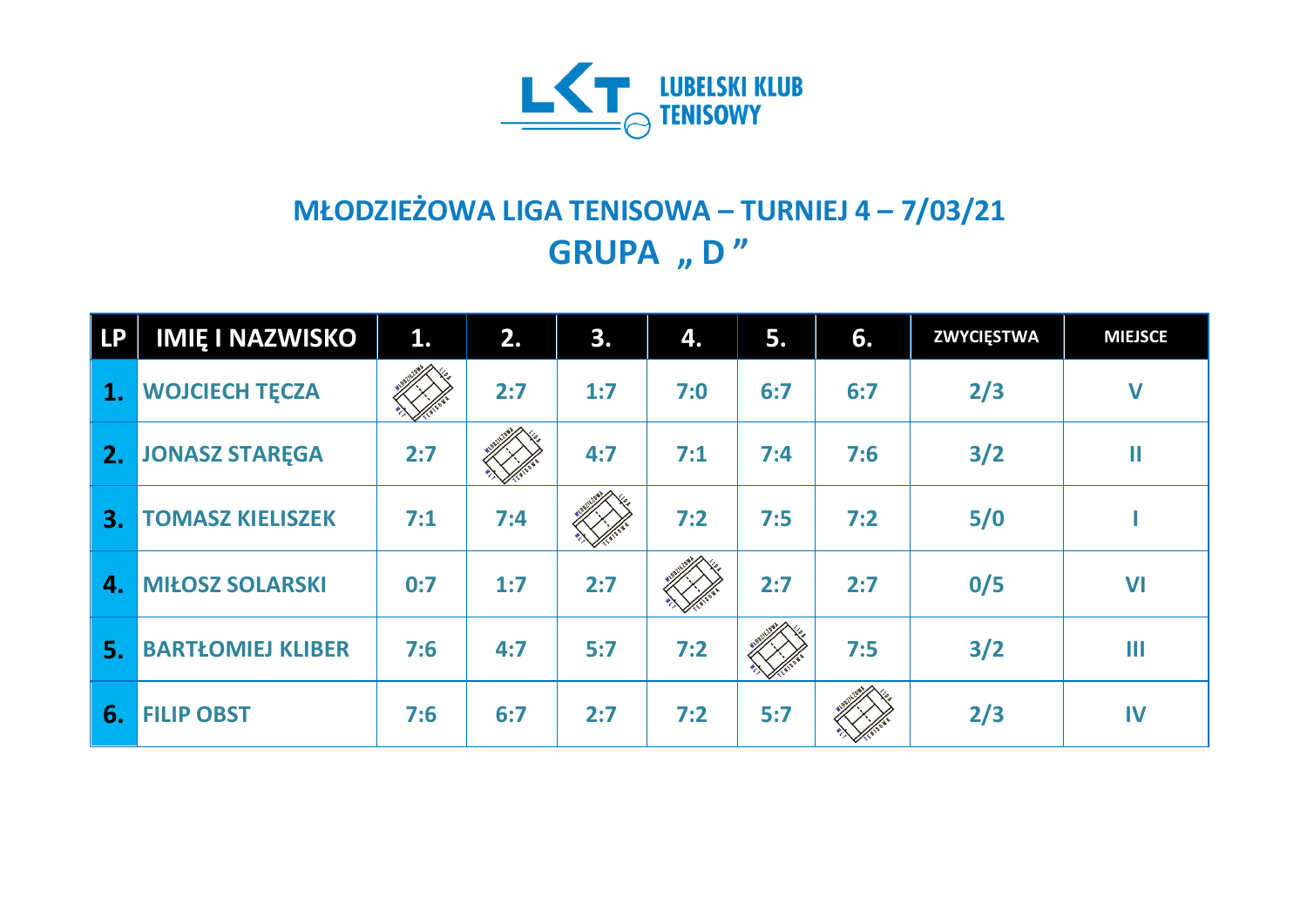

## **MŁODZIEŻOWA LIGA TENISOWA – TURNIEJ 4 – 7/03/21 GRUPA** "D"

| <b>LP</b> | <b>IMIE I NAZWISKO</b>   | 1.  | 2.  | 3.  | 4.  | 5.  | 6.  | <b>ZWYCIĘSTWA</b> | <b>MIEJSCE</b> |
|-----------|--------------------------|-----|-----|-----|-----|-----|-----|-------------------|----------------|
| 1.        | <b>WOJCIECH TECZA</b>    |     | 2:7 | 1:7 | 7:0 | 6:7 | 6:7 | 2/3               | $\mathbf V$    |
| 2.        | <b>JONASZ STAREGA</b>    | 2:7 |     | 4:7 | 7:1 | 7:4 | 7:6 | 3/2               | Ш              |
| 3.        | <b>TOMASZ KIELISZEK</b>  | 7:1 | 7:4 |     | 7:2 | 7:5 | 7:2 | 5/0               |                |
| 4.        | <b>MIŁOSZ SOLARSKI</b>   | 0:7 | 1:7 | 2:7 |     | 2:7 | 2:7 | 0/5               | VI             |
| 5.        | <b>BARTŁOMIEJ KLIBER</b> | 7:6 | 4:7 | 5:7 | 7:2 |     | 7:5 | $3/2$             | $\mathbf{III}$ |
| 6.        | <b>FILIP OBST</b>        | 7:6 | 6:7 | 2:7 | 7:2 | 5:7 |     | 2/3               | IV             |